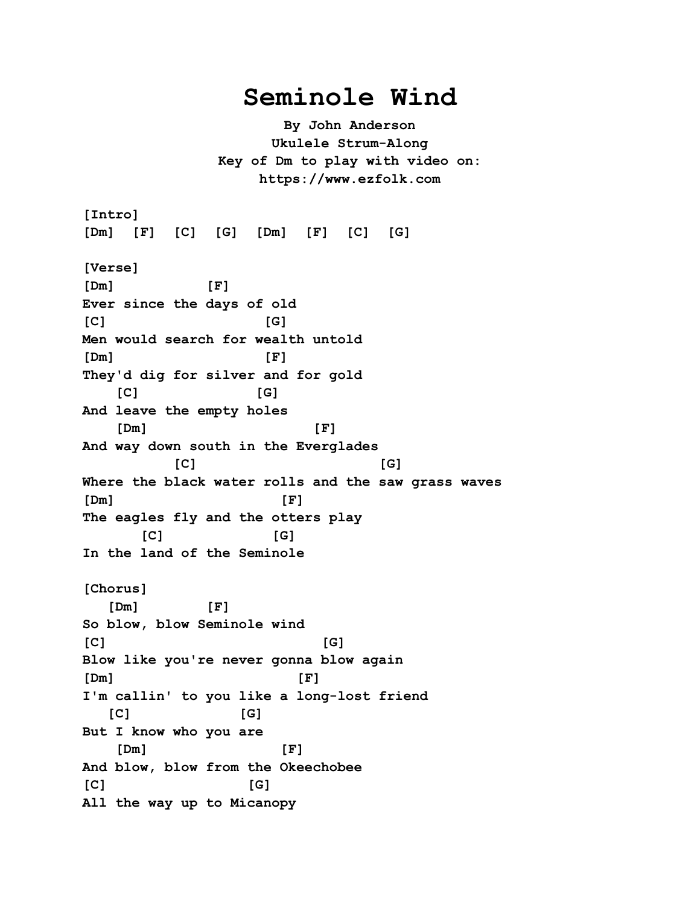## **Seminole Wind**

**By John Anderson Ukulele Strum-Along Key of Dm to play with video on: https://www.ezfolk.com**

**[Intro] [Dm] [F] [C] [G] [Dm] [F] [C] [G] [Verse] [Dm] [F] Ever since the days of old [C] [G] Men would search for wealth untold [Dm] [F] They'd dig for silver and for gold [C] [G] And leave the empty holes [Dm] [F] And way down south in the Everglades [C] [G] Where the black water rolls and the saw grass waves [Dm] [F] The eagles fly and the otters play [C] [G] In the land of the Seminole [Chorus] [Dm] [F] So blow, blow Seminole wind [C] [G] Blow like you're never gonna blow again [Dm] [F] I'm callin' to you like a long-lost friend [C] [G] But I know who you are [Dm] [F] And blow, blow from the Okeechobee [C] [G] All the way up to Micanopy**